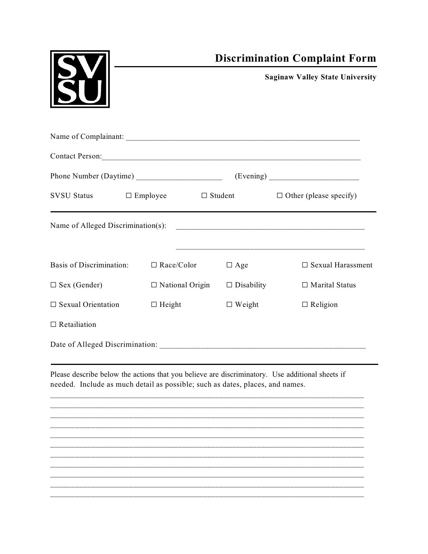|                                                                                                                                                                                  |                        | <b>Discrimination Complaint Form</b> |                                              |  |
|----------------------------------------------------------------------------------------------------------------------------------------------------------------------------------|------------------------|--------------------------------------|----------------------------------------------|--|
|                                                                                                                                                                                  |                        |                                      | <b>Saginaw Valley State University</b>       |  |
|                                                                                                                                                                                  |                        |                                      |                                              |  |
|                                                                                                                                                                                  |                        |                                      |                                              |  |
|                                                                                                                                                                                  |                        |                                      |                                              |  |
| $SVSU$ Status $\Box$ Employee                                                                                                                                                    |                        |                                      | $\Box$ Student $\Box$ Other (please specify) |  |
| Name of Alleged Discrimination(s):                                                                                                                                               |                        |                                      |                                              |  |
| <b>Basis of Discrimination:</b>                                                                                                                                                  | $\Box$ Race/Color      | $\Box$ Age                           | $\square$ Sexual Harassment                  |  |
| $\Box$ Sex (Gender)                                                                                                                                                              | $\Box$ National Origin | $\Box$ Disability                    | $\Box$ Marital Status                        |  |
| $\Box$ Sexual Orientation                                                                                                                                                        | $\Box$ Height          | $\Box$ Weight                        | $\Box$ Religion                              |  |
| $\Box$ Retailiation                                                                                                                                                              |                        |                                      |                                              |  |
|                                                                                                                                                                                  |                        |                                      |                                              |  |
| Please describe below the actions that you believe are discriminatory. Use additional sheets if<br>needed. Include as much detail as possible; such as dates, places, and names. |                        |                                      |                                              |  |